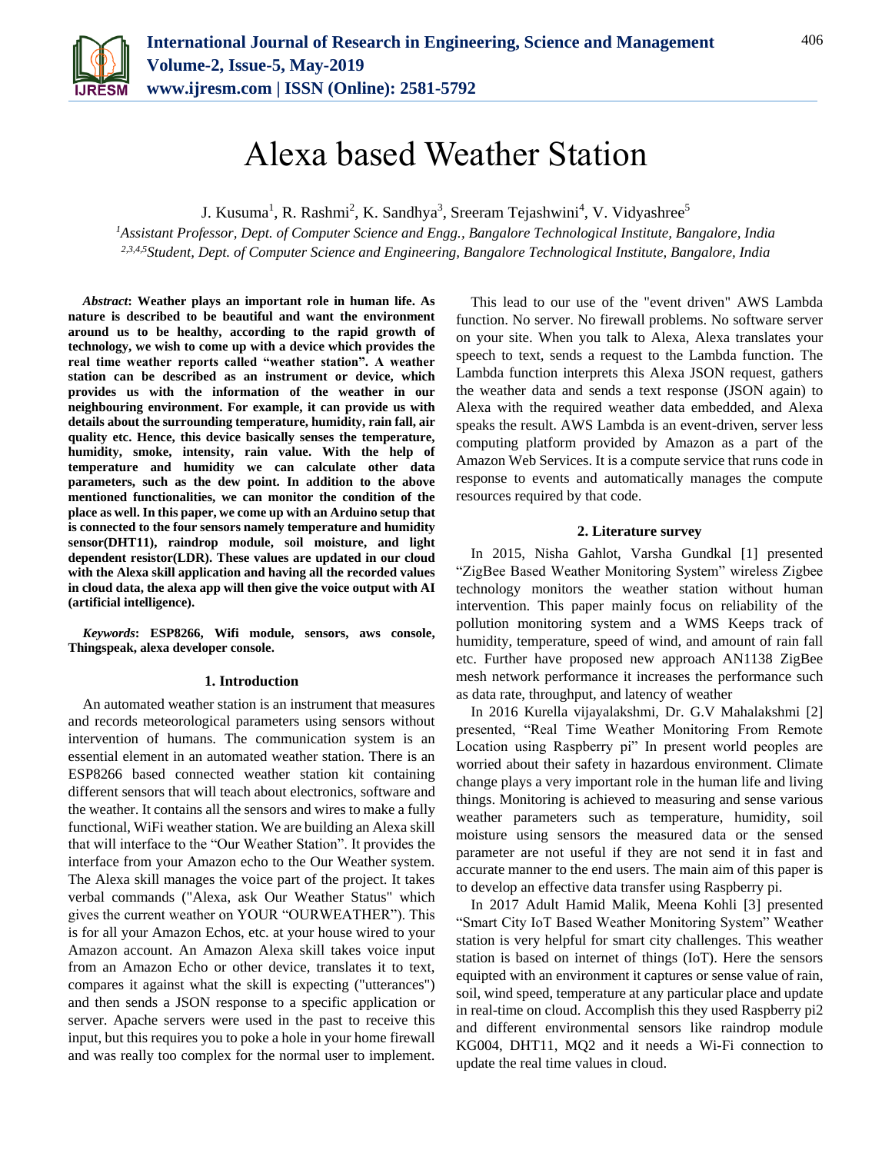

# Alexa based Weather Station

J. Kusuma<sup>1</sup>, R. Rashmi<sup>2</sup>, K. Sandhya<sup>3</sup>, Sreeram Tejashwini<sup>4</sup>, V. Vidyashree<sup>5</sup>

*<sup>1</sup>Assistant Professor, Dept. of Computer Science and Engg., Bangalore Technological Institute, Bangalore, India 2,3,4,5Student, Dept. of Computer Science and Engineering, Bangalore Technological Institute, Bangalore, India*

*Abstract***: Weather plays an important role in human life. As nature is described to be beautiful and want the environment around us to be healthy, according to the rapid growth of technology, we wish to come up with a device which provides the real time weather reports called "weather station". A weather station can be described as an instrument or device, which provides us with the information of the weather in our neighbouring environment. For example, it can provide us with details about the surrounding temperature, humidity, rain fall, air quality etc. Hence, this device basically senses the temperature, humidity, smoke, intensity, rain value. With the help of temperature and humidity we can calculate other data parameters, such as the dew point. In addition to the above mentioned functionalities, we can monitor the condition of the place as well. In this paper, we come up with an Arduino setup that is connected to the four sensors namely temperature and humidity sensor(DHT11), raindrop module, soil moisture, and light dependent resistor(LDR). These values are updated in our cloud with the Alexa skill application and having all the recorded values in cloud data, the alexa app will then give the voice output with AI (artificial intelligence).**

*Keywords***: ESP8266, Wifi module, sensors, aws console, Thingspeak, alexa developer console.**

#### **1. Introduction**

An automated weather station is an instrument that measures and records meteorological parameters using sensors without intervention of humans. The communication system is an essential element in an automated weather station. There is an ESP8266 based connected weather station kit containing different sensors that will teach about electronics, software and the weather. It contains all the sensors and wires to make a fully functional, WiFi weather station. We are building an Alexa skill that will interface to the "Our Weather Station". It provides the interface from your Amazon echo to the Our Weather system. The Alexa skill manages the voice part of the project. It takes verbal commands ("Alexa, ask Our Weather Status" which gives the current weather on YOUR "OURWEATHER"). This is for all your Amazon Echos, etc. at your house wired to your Amazon account. An Amazon Alexa skill takes voice input from an Amazon Echo or other device, translates it to text, compares it against what the skill is expecting ("utterances") and then sends a JSON response to a specific application or server. Apache servers were used in the past to receive this input, but this requires you to poke a hole in your home firewall and was really too complex for the normal user to implement.

This lead to our use of the "event driven" AWS Lambda function. No server. No firewall problems. No software server on your site. When you talk to Alexa, Alexa translates your speech to text, sends a request to the Lambda function. The Lambda function interprets this Alexa JSON request, gathers the weather data and sends a text response (JSON again) to Alexa with the required weather data embedded, and Alexa speaks the result. AWS Lambda is an event-driven, server less computing platform provided by Amazon as a part of the Amazon Web Services. It is a compute service that runs code in response to events and automatically manages the compute resources required by that code.

## **2. Literature survey**

In 2015, Nisha Gahlot, Varsha Gundkal [1] presented "ZigBee Based Weather Monitoring System" wireless Zigbee technology monitors the weather station without human intervention. This paper mainly focus on reliability of the pollution monitoring system and a WMS Keeps track of humidity, temperature, speed of wind, and amount of rain fall etc. Further have proposed new approach AN1138 ZigBee mesh network performance it increases the performance such as data rate, throughput, and latency of weather

In 2016 Kurella vijayalakshmi, Dr. G.V Mahalakshmi [2] presented, "Real Time Weather Monitoring From Remote Location using Raspberry pi" In present world peoples are worried about their safety in hazardous environment. Climate change plays a very important role in the human life and living things. Monitoring is achieved to measuring and sense various weather parameters such as temperature, humidity, soil moisture using sensors the measured data or the sensed parameter are not useful if they are not send it in fast and accurate manner to the end users. The main aim of this paper is to develop an effective data transfer using Raspberry pi.

In 2017 Adult Hamid Malik, Meena Kohli [3] presented "Smart City IoT Based Weather Monitoring System" Weather station is very helpful for smart city challenges. This weather station is based on internet of things (IoT). Here the sensors equipted with an environment it captures or sense value of rain, soil, wind speed, temperature at any particular place and update in real-time on cloud. Accomplish this they used Raspberry pi2 and different environmental sensors like raindrop module KG004, DHT11, MQ2 and it needs a Wi-Fi connection to update the real time values in cloud.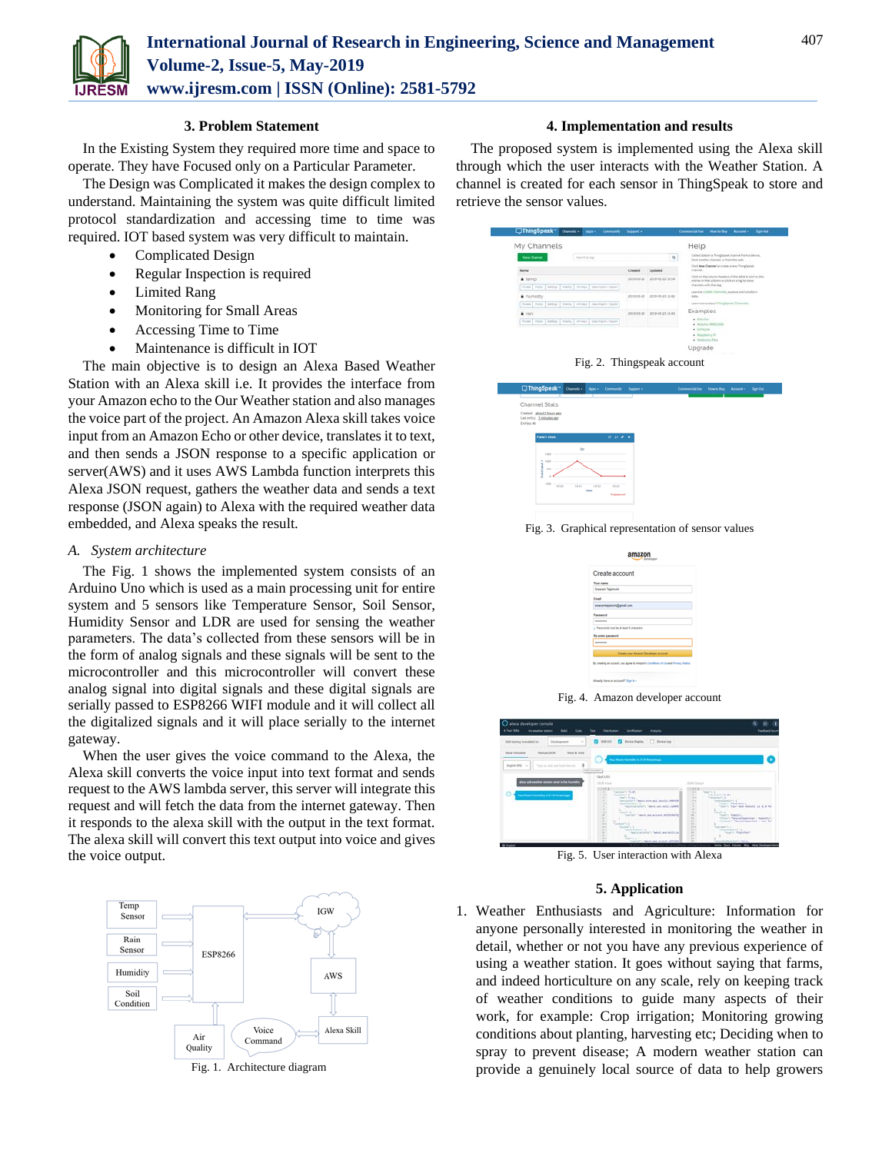

L.

### **3. Problem Statement**

In the Existing System they required more time and space to operate. They have Focused only on a Particular Parameter.

The Design was Complicated it makes the design complex to understand. Maintaining the system was quite difficult limited protocol standardization and accessing time to time was required. IOT based system was very difficult to maintain.

- Complicated Design
- Regular Inspection is required
- Limited Rang
- Monitoring for Small Areas
- Accessing Time to Time
- Maintenance is difficult in IOT

The main objective is to design an Alexa Based Weather Station with an Alexa skill i.e. It provides the interface from your Amazon echo to the Our Weather station and also manages the voice part of the project. An Amazon Alexa skill takes voice input from an Amazon Echo or other device, translates it to text, and then sends a JSON response to a specific application or server(AWS) and it uses AWS Lambda function interprets this Alexa JSON request, gathers the weather data and sends a text response (JSON again) to Alexa with the required weather data embedded, and Alexa speaks the result.

### *A. System architecture*

The Fig. 1 shows the implemented system consists of an Arduino Uno which is used as a main processing unit for entire system and 5 sensors like Temperature Sensor, Soil Sensor, Humidity Sensor and LDR are used for sensing the weather parameters. The data's collected from these sensors will be in the form of analog signals and these signals will be sent to the microcontroller and this microcontroller will convert these analog signal into digital signals and these digital signals are serially passed to ESP8266 WIFI module and it will collect all the digitalized signals and it will place serially to the internet gateway.

When the user gives the voice command to the Alexa, the Alexa skill converts the voice input into text format and sends request to the AWS lambda server, this server will integrate this request and will fetch the data from the internet gateway. Then it responds to the alexa skill with the output in the text format. The alexa skill will convert this text output into voice and gives the voice output.



Fig. 1. Architecture diagram

## **4. Implementation and results**

The proposed system is implemented using the Alexa skill through which the user interacts with the Weather Station. A channel is created for each sensor in ThingSpeak to store and retrieve the sensor values.





Fig. 3. Graphical representation of sensor values



Fig. 4. Amazon developer account



Fig. 5. User interaction with Alexa

## **5. Application**

1. Weather Enthusiasts and Agriculture: Information for anyone personally interested in monitoring the weather in detail, whether or not you have any previous experience of using a weather station. It goes without saying that farms, and indeed horticulture on any scale, rely on keeping track of weather conditions to guide many aspects of their work, for example: Crop irrigation; Monitoring growing conditions about planting, harvesting etc; Deciding when to spray to prevent disease; A modern weather station can provide a genuinely local source of data to help growers